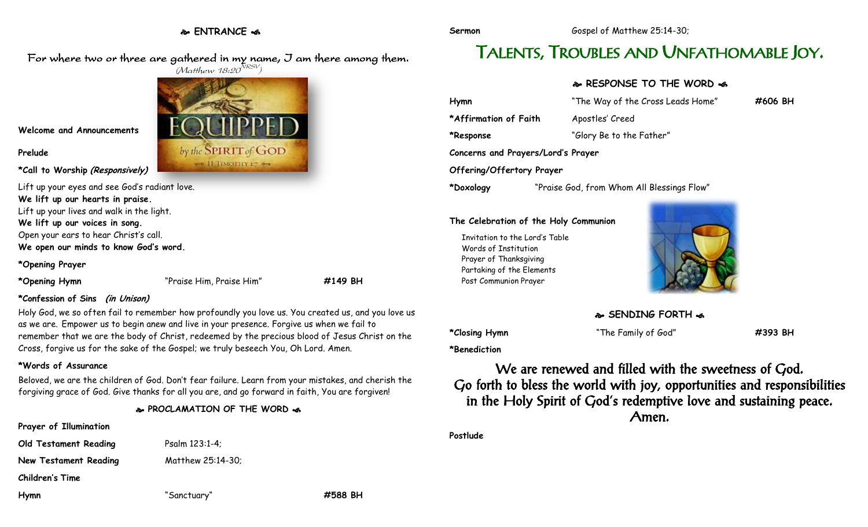## **ENTRANCE**

### For where two or three are gathered in my name, I am there among them.  $(M$ atthew 18:20 $^{NRSV})$

by the SPIRIT of GOD we H TIMOTHY 17 0

**Welcome and Announcements**

### **Prelude**

**\*Call to Worship (Responsively)**

Lift up your eyes and see God's radiant love. **We lift up our hearts in praise.** Lift up your lives and walk in the light. **We lift up our voices in song.** Open your ears to hear Christ's call. **We open our minds to know God's word.**

**\*Opening Prayer**

**\*Opening Hymn** "Praise Him, Praise Him" **#149 BH**

### **\*Confession of Sins (in Unison)**

Holy God, we so often fail to remember how profoundly you love us. You created us, and you love us as we are. Empower us to begin anew and live in your presence. Forgive us when we fail to remember that we are the body of Christ, redeemed by the precious blood of Jesus Christ on the Cross, forgive us for the sake of the Gospel; we truly beseech You, Oh Lord. Amen.

### **\*Words of Assurance**

Beloved, we are the children of God. Don't fear failure. Learn from your mistakes, and cherish the forgiving grace of God. Give thanks for all you are, and go forward in faith, You are forgiven!

**PROCLAMATION OF THE WORD** 

## **Prayer of Illumination**

**Old Testament Reading** Psalm 123:1-4;

**New Testament Reading Matthew 25:14-30;** 

**Children's Time**

**Hymn** "Sanctuary" **#588 BH**

# TALENTS, TROUBLES AND UNFATHOMABLE JOY.

## **RESPONSE TO THE WORD**

| Hymn                               | "The Way of the Cross Leads Home"          | #606 BH |
|------------------------------------|--------------------------------------------|---------|
| *Affirmation of Faith              | Apostles' Creed                            |         |
| *Response                          | "Glory Be to the Father"                   |         |
| Concerns and Prayers/Lord's Prayer |                                            |         |
| Offering/Offertory Prayer          |                                            |         |
| *Doxology                          | "Praise God, from Whom All Blessings Flow" |         |

### **The Celebration of the Holy Communion**

Invitation to the Lord's Table Words of Institution Prayer of Thanksgiving Partaking of the Elements Post Communion Prayer



**SENDING FORTH**  $\bullet$ 

**\*Closing Hymn** "The Family of God" **#393 BH**

**\*Benediction**

We are renewed and filled with the sweetness of God. Go forth to bless the world with joy, opportunities and responsibilities in the Holy Spirit of God's redemptive love and sustaining peace. Amen.

**Postlude**